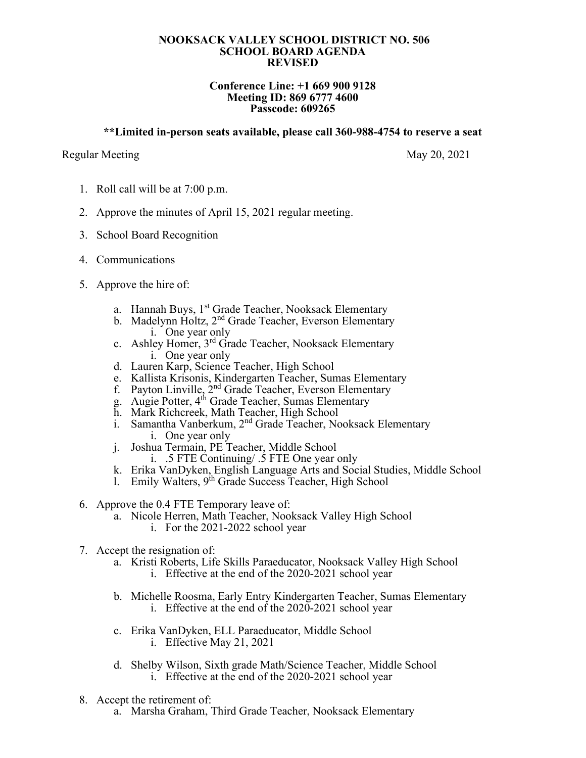## **NOOKSACK VALLEY SCHOOL DISTRICT NO. 506 SCHOOL BOARD AGENDA REVISED**

## **Conference Line: +1 669 900 9128 Meeting ID: 869 6777 4600 Passcode: 609265**

## **\*\*Limited in-person seats available, please call 360-988-4754 to reserve a seat**

## Regular Meeting May 20, 2021

- 1. Roll call will be at 7:00 p.m.
- 2. Approve the minutes of April 15, 2021 regular meeting.
- 3. School Board Recognition
- 4. Communications
- 5. Approve the hire of:
	- a. Hannah Buys, 1<sup>st</sup> Grade Teacher, Nooksack Elementary
	- b. Madelynn Holtz, 2<sup>nd</sup> Grade Teacher, Everson Elementary i. One year only
	- c. Ashley Homer, 3rd Grade Teacher, Nooksack Elementary i. One year only
	- d. Lauren Karp, Science Teacher, High School
	- e. Kallista Krisonis, Kindergarten Teacher, Sumas Elementary
	- f. Payton Linville, 2<sup>nd</sup> Grade Teacher, Everson Elementary
	- g. Augie Potter, 4<sup>th</sup> Grade Teacher, Sumas Elementary
	- h. Mark Richcreek, Math Teacher, High School
	- i. Samantha Vanberkum, 2<sup>nd</sup> Grade Teacher, Nooksack Elementary i. One year only
	- j. Joshua Termain, PE Teacher, Middle School
		- i. .5 FTE Continuing/ .5 FTE One year only
	- k. Erika VanDyken, English Language Arts and Social Studies, Middle School
	- l. Emily Walters, 9<sup>th</sup> Grade Success Teacher, High School
- 6. Approve the 0.4 FTE Temporary leave of:
	- a. Nicole Herren, Math Teacher, Nooksack Valley High School i. For the 2021-2022 school year
- 7. Accept the resignation of:
	- a. Kristi Roberts, Life Skills Paraeducator, Nooksack Valley High School i. Effective at the end of the 2020-2021 school year
	- b. Michelle Roosma, Early Entry Kindergarten Teacher, Sumas Elementary i. Effective at the end of the 2020-2021 school year
	- c. Erika VanDyken, ELL Paraeducator, Middle School i. Effective May 21, 2021
	- d. Shelby Wilson, Sixth grade Math/Science Teacher, Middle School i. Effective at the end of the 2020-2021 school year
- 8. Accept the retirement of:
	- a. Marsha Graham, Third Grade Teacher, Nooksack Elementary